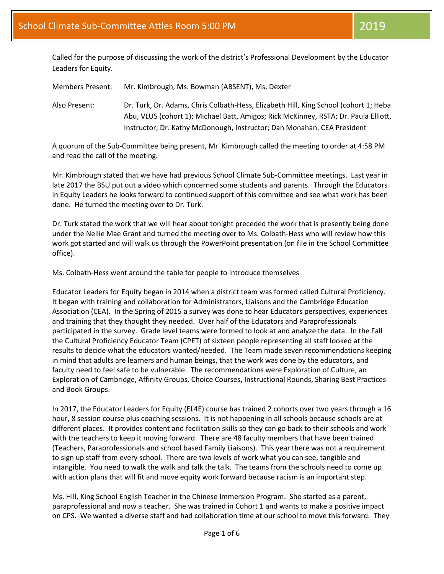Called for the purpose of discussing the work of the district's Professional Development by the Educator Leaders for Equity.

Members Present: Mr. Kimbrough, Ms. Bowman (ABSENT), Ms. Dexter

Also Present: Dr. Turk, Dr. Adams, Chris Colbath-Hess, Elizabeth Hill, King School (cohort 1; Heba Abu, VLUS (cohort 1); Michael Batt, Amigos; Rick McKinney, RSTA; Dr. Paula Elliott, Instructor; Dr. Kathy McDonough, Instructor; Dan Monahan, CEA President

A quorum of the Sub-Committee being present, Mr. Kimbrough called the meeting to order at 4:58 PM and read the call of the meeting.

Mr. Kimbrough stated that we have had previous School Climate Sub-Committee meetings. Last year in late 2017 the BSU put out a video which concerned some students and parents. Through the Educators in Equity Leaders he looks forward to continued support of this committee and see what work has been done. He turned the meeting over to Dr. Turk.

Dr. Turk stated the work that we will hear about tonight preceded the work that is presently being done under the Nellie Mae Grant and turned the meeting over to Ms. Colbath-Hess who will review how this work got started and will walk us through the PowerPoint presentation (on file in the School Committee office).

Ms. Colbath-Hess went around the table for people to introduce themselves

Educator Leaders for Equity began in 2014 when a district team was formed called Cultural Proficiency. It began with training and collaboration for Administrators, Liaisons and the Cambridge Education Association (CEA). In the Spring of 2015 a survey was done to hear Educators perspectives, experiences and training that they thought they needed. Over half of the Educators and Paraprofessionals participated in the survey. Grade level teams were formed to look at and analyze the data. In the Fall the Cultural Proficiency Educator Team (CPET) of sixteen people representing all staff looked at the results to decide what the educators wanted/needed. The Team made seven recommendations keeping in mind that adults are learners and human beings, that the work was done by the educators, and faculty need to feel safe to be vulnerable. The recommendations were Exploration of Culture, an Exploration of Cambridge, Affinity Groups, Choice Courses, Instructional Rounds, Sharing Best Practices and Book Groups.

In 2017, the Educator Leaders for Equity (EL4E) course has trained 2 cohorts over two years through a 16 hour, 8 session course plus coaching sessions. It is not happening in all schools because schools are at different places. It provides content and facilitation skills so they can go back to their schools and work with the teachers to keep it moving forward. There are 48 faculty members that have been trained (Teachers, Paraprofessionals and school based Family Liaisons). This year there was not a requirement to sign up staff from every school. There are two levels of work what you can see, tangible and intangible. You need to walk the walk and talk the talk. The teams from the schools need to come up with action plans that will fit and move equity work forward because racism is an important step.

Ms. Hill, King School English Teacher in the Chinese Immersion Program. She started as a parent, paraprofessional and now a teacher. She was trained in Cohort 1 and wants to make a positive impact on CPS. We wanted a diverse staff and had collaboration time at our school to move this forward. They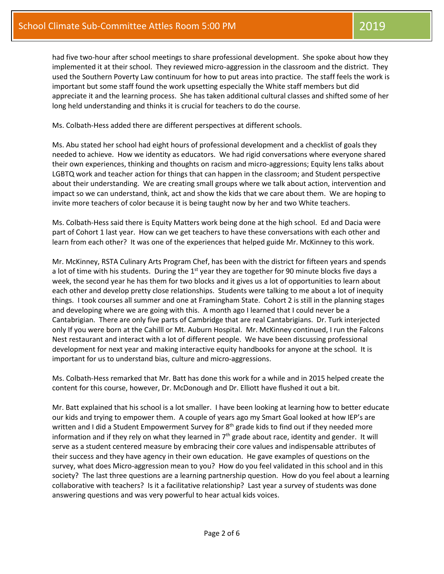had five two-hour after school meetings to share professional development. She spoke about how they implemented it at their school. They reviewed micro-aggression in the classroom and the district. They used the Southern Poverty Law continuum for how to put areas into practice. The staff feels the work is important but some staff found the work upsetting especially the White staff members but did appreciate it and the learning process. She has taken additional cultural classes and shifted some of her long held understanding and thinks it is crucial for teachers to do the course.

Ms. Colbath-Hess added there are different perspectives at different schools.

Ms. Abu stated her school had eight hours of professional development and a checklist of goals they needed to achieve. How we identity as educators. We had rigid conversations where everyone shared their own experiences, thinking and thoughts on racism and micro-aggressions; Equity lens talks about LGBTQ work and teacher action for things that can happen in the classroom; and Student perspective about their understanding. We are creating small groups where we talk about action, intervention and impact so we can understand, think, act and show the kids that we care about them. We are hoping to invite more teachers of color because it is being taught now by her and two White teachers.

Ms. Colbath-Hess said there is Equity Matters work being done at the high school. Ed and Dacia were part of Cohort 1 last year. How can we get teachers to have these conversations with each other and learn from each other? It was one of the experiences that helped guide Mr. McKinney to this work.

Mr. McKinney, RSTA Culinary Arts Program Chef, has been with the district for fifteen years and spends a lot of time with his students. During the  $1<sup>st</sup>$  year they are together for 90 minute blocks five days a week, the second year he has them for two blocks and it gives us a lot of opportunities to learn about each other and develop pretty close relationships. Students were talking to me about a lot of inequity things. I took courses all summer and one at Framingham State. Cohort 2 is still in the planning stages and developing where we are going with this. A month ago I learned that I could never be a Cantabrigian. There are only five parts of Cambridge that are real Cantabrigians. Dr. Turk interjected only If you were born at the Cahilll or Mt. Auburn Hospital. Mr. McKinney continued, I run the Falcons Nest restaurant and interact with a lot of different people. We have been discussing professional development for next year and making interactive equity handbooks for anyone at the school. It is important for us to understand bias, culture and micro-aggressions.

Ms. Colbath-Hess remarked that Mr. Batt has done this work for a while and in 2015 helped create the content for this course, however, Dr. McDonough and Dr. Elliott have flushed it out a bit.

Mr. Batt explained that his school is a lot smaller. I have been looking at learning how to better educate our kids and trying to empower them. A couple of years ago my Smart Goal looked at how IEP's are written and I did a Student Empowerment Survey for  $8<sup>th</sup>$  grade kids to find out if they needed more information and if they rely on what they learned in  $7<sup>th</sup>$  grade about race, identity and gender. It will serve as a student centered measure by embracing their core values and indispensable attributes of their success and they have agency in their own education. He gave examples of questions on the survey, what does Micro-aggression mean to you? How do you feel validated in this school and in this society? The last three questions are a learning partnership question. How do you feel about a learning collaborative with teachers? Is it a facilitative relationship? Last year a survey of students was done answering questions and was very powerful to hear actual kids voices.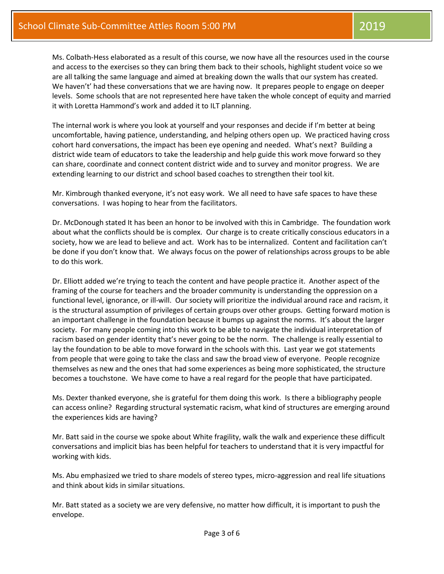Ms. Colbath-Hess elaborated as a result of this course, we now have all the resources used in the course and access to the exercises so they can bring them back to their schools, highlight student voice so we are all talking the same language and aimed at breaking down the walls that our system has created. We haven't' had these conversations that we are having now. It prepares people to engage on deeper levels. Some schools that are not represented here have taken the whole concept of equity and married it with Loretta Hammond's work and added it to ILT planning.

The internal work is where you look at yourself and your responses and decide if I'm better at being uncomfortable, having patience, understanding, and helping others open up. We practiced having cross cohort hard conversations, the impact has been eye opening and needed. What's next? Building a district wide team of educators to take the leadership and help guide this work move forward so they can share, coordinate and connect content district wide and to survey and monitor progress. We are extending learning to our district and school based coaches to strengthen their tool kit.

Mr. Kimbrough thanked everyone, it's not easy work. We all need to have safe spaces to have these conversations. I was hoping to hear from the facilitators.

Dr. McDonough stated It has been an honor to be involved with this in Cambridge. The foundation work about what the conflicts should be is complex. Our charge is to create critically conscious educators in a society, how we are lead to believe and act. Work has to be internalized. Content and facilitation can't be done if you don't know that. We always focus on the power of relationships across groups to be able to do this work.

Dr. Elliott added we're trying to teach the content and have people practice it. Another aspect of the framing of the course for teachers and the broader community is understanding the oppression on a functional level, ignorance, or ill-will. Our society will prioritize the individual around race and racism, it is the structural assumption of privileges of certain groups over other groups. Getting forward motion is an important challenge in the foundation because it bumps up against the norms. It's about the larger society. For many people coming into this work to be able to navigate the individual interpretation of racism based on gender identity that's never going to be the norm. The challenge is really essential to lay the foundation to be able to move forward in the schools with this. Last year we got statements from people that were going to take the class and saw the broad view of everyone. People recognize themselves as new and the ones that had some experiences as being more sophisticated, the structure becomes a touchstone. We have come to have a real regard for the people that have participated.

Ms. Dexter thanked everyone, she is grateful for them doing this work. Is there a bibliography people can access online? Regarding structural systematic racism, what kind of structures are emerging around the experiences kids are having?

Mr. Batt said in the course we spoke about White fragility, walk the walk and experience these difficult conversations and implicit bias has been helpful for teachers to understand that it is very impactful for working with kids.

Ms. Abu emphasized we tried to share models of stereo types, micro-aggression and real life situations and think about kids in similar situations.

Mr. Batt stated as a society we are very defensive, no matter how difficult, it is important to push the envelope.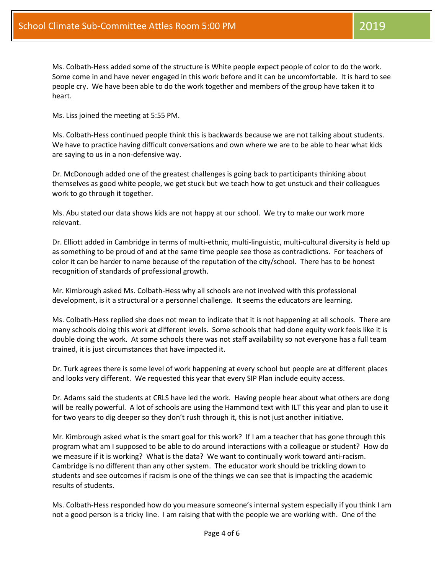Ms. Colbath-Hess added some of the structure is White people expect people of color to do the work. Some come in and have never engaged in this work before and it can be uncomfortable. It is hard to see people cry. We have been able to do the work together and members of the group have taken it to heart.

Ms. Liss joined the meeting at 5:55 PM.

Ms. Colbath-Hess continued people think this is backwards because we are not talking about students. We have to practice having difficult conversations and own where we are to be able to hear what kids are saying to us in a non-defensive way.

Dr. McDonough added one of the greatest challenges is going back to participants thinking about themselves as good white people, we get stuck but we teach how to get unstuck and their colleagues work to go through it together.

Ms. Abu stated our data shows kids are not happy at our school. We try to make our work more relevant.

Dr. Elliott added in Cambridge in terms of multi-ethnic, multi-linguistic, multi-cultural diversity is held up as something to be proud of and at the same time people see those as contradictions. For teachers of color it can be harder to name because of the reputation of the city/school. There has to be honest recognition of standards of professional growth.

Mr. Kimbrough asked Ms. Colbath-Hess why all schools are not involved with this professional development, is it a structural or a personnel challenge. It seems the educators are learning.

Ms. Colbath-Hess replied she does not mean to indicate that it is not happening at all schools. There are many schools doing this work at different levels. Some schools that had done equity work feels like it is double doing the work. At some schools there was not staff availability so not everyone has a full team trained, it is just circumstances that have impacted it.

Dr. Turk agrees there is some level of work happening at every school but people are at different places and looks very different. We requested this year that every SIP Plan include equity access.

Dr. Adams said the students at CRLS have led the work. Having people hear about what others are dong will be really powerful. A lot of schools are using the Hammond text with ILT this year and plan to use it for two years to dig deeper so they don't rush through it, this is not just another initiative.

Mr. Kimbrough asked what is the smart goal for this work? If I am a teacher that has gone through this program what am I supposed to be able to do around interactions with a colleague or student? How do we measure if it is working? What is the data? We want to continually work toward anti-racism. Cambridge is no different than any other system. The educator work should be trickling down to students and see outcomes if racism is one of the things we can see that is impacting the academic results of students.

Ms. Colbath-Hess responded how do you measure someone's internal system especially if you think I am not a good person is a tricky line. I am raising that with the people we are working with. One of the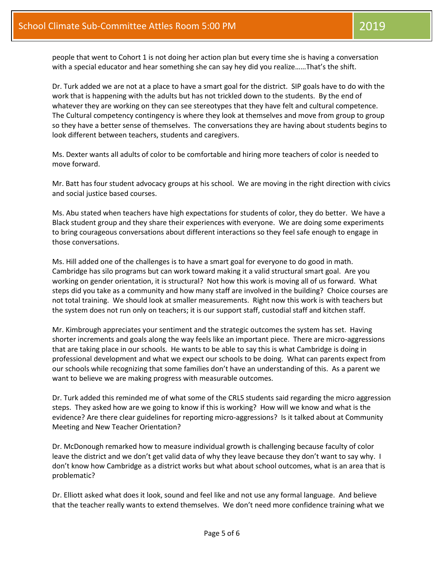people that went to Cohort 1 is not doing her action plan but every time she is having a conversation with a special educator and hear something she can say hey did you realize......That's the shift.

Dr. Turk added we are not at a place to have a smart goal for the district. SIP goals have to do with the work that is happening with the adults but has not trickled down to the students. By the end of whatever they are working on they can see stereotypes that they have felt and cultural competence. The Cultural competency contingency is where they look at themselves and move from group to group so they have a better sense of themselves. The conversations they are having about students begins to look different between teachers, students and caregivers.

Ms. Dexter wants all adults of color to be comfortable and hiring more teachers of color is needed to move forward.

Mr. Batt has four student advocacy groups at his school. We are moving in the right direction with civics and social justice based courses.

Ms. Abu stated when teachers have high expectations for students of color, they do better. We have a Black student group and they share their experiences with everyone. We are doing some experiments to bring courageous conversations about different interactions so they feel safe enough to engage in those conversations.

Ms. Hill added one of the challenges is to have a smart goal for everyone to do good in math. Cambridge has silo programs but can work toward making it a valid structural smart goal. Are you working on gender orientation, it is structural? Not how this work is moving all of us forward. What steps did you take as a community and how many staff are involved in the building? Choice courses are not total training. We should look at smaller measurements. Right now this work is with teachers but the system does not run only on teachers; it is our support staff, custodial staff and kitchen staff.

Mr. Kimbrough appreciates your sentiment and the strategic outcomes the system has set. Having shorter increments and goals along the way feels like an important piece. There are micro-aggressions that are taking place in our schools. He wants to be able to say this is what Cambridge is doing in professional development and what we expect our schools to be doing. What can parents expect from our schools while recognizing that some families don't have an understanding of this. As a parent we want to believe we are making progress with measurable outcomes.

Dr. Turk added this reminded me of what some of the CRLS students said regarding the micro aggression steps. They asked how are we going to know if this is working? How will we know and what is the evidence? Are there clear guidelines for reporting micro-aggressions? Is it talked about at Community Meeting and New Teacher Orientation?

Dr. McDonough remarked how to measure individual growth is challenging because faculty of color leave the district and we don't get valid data of why they leave because they don't want to say why. I don't know how Cambridge as a district works but what about school outcomes, what is an area that is problematic?

Dr. Elliott asked what does it look, sound and feel like and not use any formal language. And believe that the teacher really wants to extend themselves. We don't need more confidence training what we